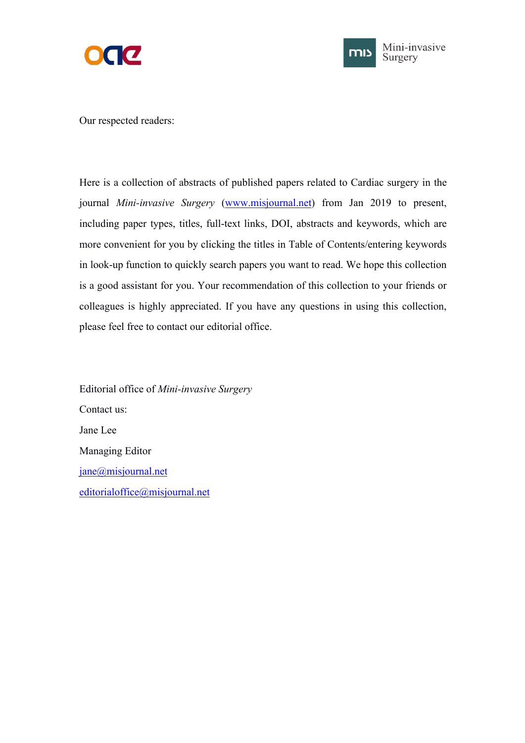



Our respected readers:

Here is a collection of abstracts of published papers related to Cardiac surgery in the journal *Mini-invasive Surgery* [\(www.misjournal.net](http://www.misjournal.net)) from Jan 2019 to present, including paper types, titles, full-text links, DOI, abstracts and keywords, which are more convenient for you by clicking the titles in Table of Contents/entering keywords in look-up function to quickly search papers you want to read. We hope this collection is a good assistant for you. Your recommendation of this collection to your friends or colleagues is highly appreciated. If you have any questions in using this collection, please feel free to contact our editorial office.

Editorial office of *Mini-invasive Surgery* Contact us: Jane Lee Managing Editor [jane@misjournal.net](mailto:jane@misjournal.net) [editorialoffice@misjournal.net](mailto:editorialoffice@misjournal.net)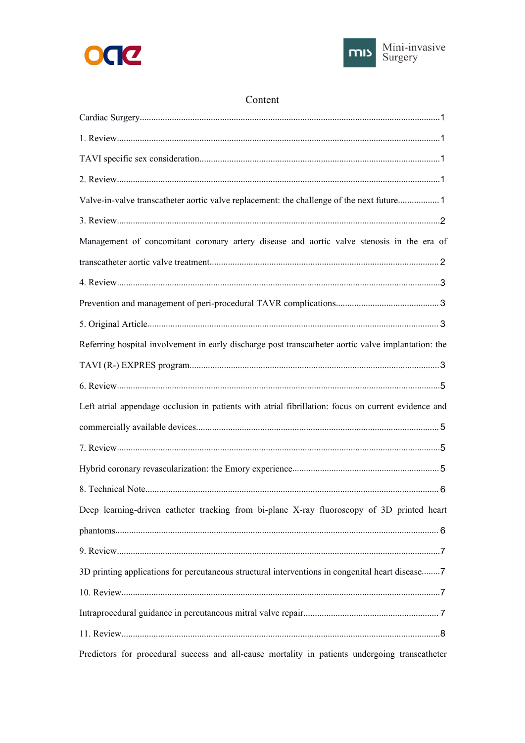



# Content

| Valve-in-valve transcatheter aortic valve replacement: the challenge of the next future 1           |  |
|-----------------------------------------------------------------------------------------------------|--|
|                                                                                                     |  |
| Management of concomitant coronary artery disease and aortic valve stenosis in the era of           |  |
|                                                                                                     |  |
|                                                                                                     |  |
|                                                                                                     |  |
|                                                                                                     |  |
| Referring hospital involvement in early discharge post transcatheter aortic valve implantation: the |  |
|                                                                                                     |  |
|                                                                                                     |  |
| Left atrial appendage occlusion in patients with atrial fibrillation: focus on current evidence and |  |
|                                                                                                     |  |
|                                                                                                     |  |
|                                                                                                     |  |
|                                                                                                     |  |
| Deep learning-driven catheter tracking from bi-plane X-ray fluoroscopy of 3D printed heart          |  |
|                                                                                                     |  |
|                                                                                                     |  |
| 3D printing applications for percutaneous structural interventions in congenital heart disease7     |  |
|                                                                                                     |  |
|                                                                                                     |  |
|                                                                                                     |  |
| Predictors for procedural success and all-cause mortality in patients undergoing transcatheter      |  |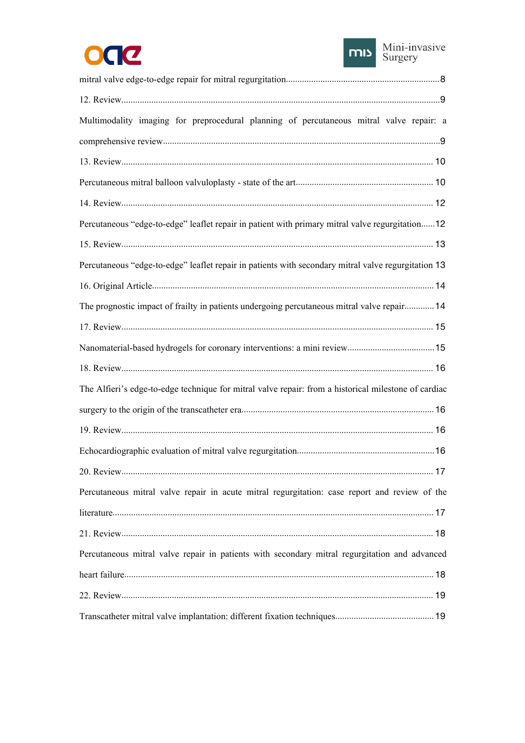



| Multimodality imaging for preprocedural planning of percutaneous mitral valve repair: a              |    |
|------------------------------------------------------------------------------------------------------|----|
|                                                                                                      |    |
|                                                                                                      |    |
|                                                                                                      |    |
|                                                                                                      |    |
| Percutaneous "edge-to-edge" leaflet repair in patient with primary mitral valve regurgitation12      |    |
|                                                                                                      |    |
| Percutaneous "edge-to-edge" leaflet repair in patients with secondary mitral valve regurgitation 13  |    |
|                                                                                                      |    |
| The prognostic impact of frailty in patients undergoing percutaneous mitral valve repair 14          |    |
|                                                                                                      |    |
|                                                                                                      |    |
|                                                                                                      |    |
| The Alfieri's edge-to-edge technique for mitral valve repair: from a historical milestone of cardiac |    |
|                                                                                                      |    |
|                                                                                                      |    |
|                                                                                                      |    |
|                                                                                                      | 17 |
| Percutaneous mitral valve repair in acute mitral regurgitation: case report and review of the        |    |
|                                                                                                      |    |
|                                                                                                      |    |
| Percutaneous mitral valve repair in patients with secondary mitral regurgitation and advanced        |    |
|                                                                                                      |    |
|                                                                                                      |    |
|                                                                                                      |    |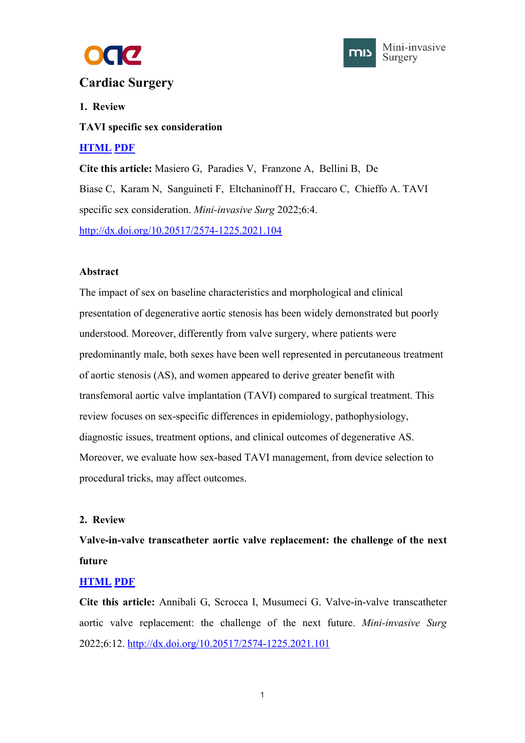



# <span id="page-3-1"></span><span id="page-3-0"></span>**Cardiac Surgery**

# **1. Review**

**TAVI specific sex consideration**

# **[HTML](https://misjournal.net/article/view/4502) [PDF](https://misjournal.net/article/download/4502)**

**Cite this article:** Masiero G, Paradies V, Franzone A, Bellini B, De Biase C, Karam N, Sanguineti F, Eltchaninoff H, Fraccaro C, Chieffo A. TAVI specific sex consideration. *Mini-invasive Surg* 2022;6:4. <http://dx.doi.org/10.20517/2574-1225.2021.104>

## **Abstract**

The impact of sex on baseline characteristics and morphological and clinical presentation of degenerative aortic stenosis has been widely demonstrated but poorly understood. Moreover, differently from valve surgery, where patients were predominantly male, both sexes have been well represented in percutaneous treatment of aortic stenosis (AS), and women appeared to derive greater benefit with transfemoral aortic valve implantation (TAVI) compared to surgical treatment. This review focuses on sex-specific differences in epidemiology, pathophysiology, diagnostic issues, treatment options, and clinical outcomes of degenerative AS. Moreover, we evaluate how sex-based TAVI management, from device selection to procedural tricks, may affect outcomes.

# **2. Review**

**Valve-in-valve transcatheter aortic valve replacement: the challenge of the next future**

# **[HTML](https://misjournal.net/article/view/4635) [PDF](https://misjournal.net/article/download/4635)**

**Cite this article:** Annibali G, Scrocca I, Musumeci G. Valve-in-valve transcatheter aortic valve replacement: the challenge of the next future. *Mini-invasive Surg* 2022;6:12. <http://dx.doi.org/10.20517/2574-1225.2021.101>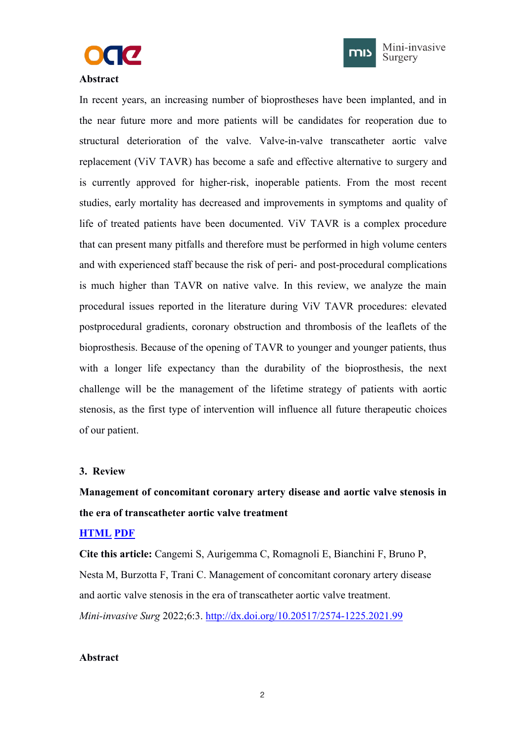



Mini-invasive Surgery

## <span id="page-4-1"></span><span id="page-4-0"></span>**Abstract**

In recent years, an increasing number of bioprostheses have been implanted, and in the near future more and more patients will be candidates for reoperation due to structural deterioration of the valve. Valve-in-valve transcatheter aortic valve replacement (ViV TAVR) has become a safe and effective alternative to surgery and is currently approved for higher-risk, inoperable patients. From the most recent studies, early mortality has decreased and improvements in symptoms and quality of life of treated patients have been documented. ViV TAVR is a complex procedure that can present many pitfalls and therefore must be performed in high volume centers and with experienced staff because the risk of peri- and post-procedural complications is much higher than TAVR on native valve. In this review, we analyze the main procedural issues reported in the literature during ViV TAVR procedures: elevated postprocedural gradients, coronary obstruction and thrombosis of the leaflets of the bioprosthesis. Because of the opening of TAVR to younger and younger patients, thus with a longer life expectancy than the durability of the bioprosthesis, the next challenge will be the management of the lifetime strategy of patients with aortic stenosis, as the first type of intervention will influence all future therapeutic choices of our patient.

## **3. Review**

# **Management of concomitant coronary artery disease and aortic valve stenosis in the era of transcatheter aortic valve treatment**

## **[HTML](https://misjournal.net/article/view/4501) [PDF](https://misjournal.net/article/download/4501)**

**Cite this article:** Cangemi S, Aurigemma C, Romagnoli E, Bianchini F, Bruno P, Nesta M, Burzotta F, Trani C. Management of concomitant coronary artery disease and aortic valve stenosis in the era of transcatheter aortic valve treatment. *Mini-invasive Surg* 2022;6:3. <http://dx.doi.org/10.20517/2574-1225.2021.99>

#### **Abstract**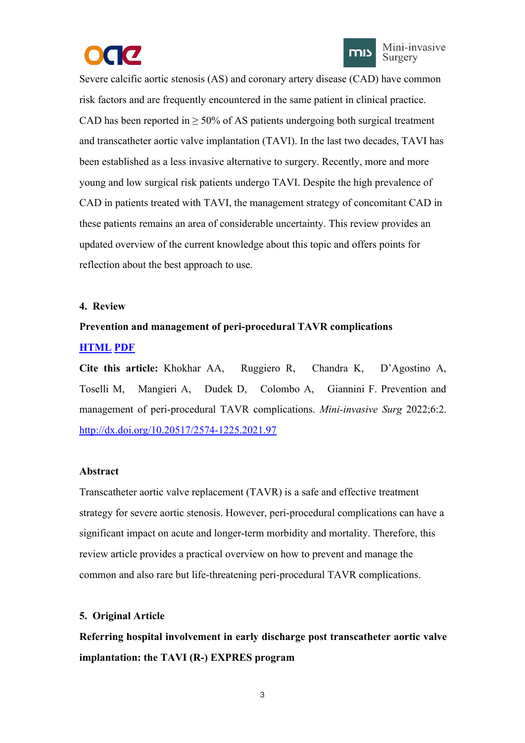



<span id="page-5-1"></span><span id="page-5-0"></span>Severe calcific aortic stenosis (AS) and coronary artery disease (CAD) have common risk factors and are frequently encountered in the same patient in clinical practice. CAD has been reported in  $\geq 50\%$  of AS patients undergoing both surgical treatment and transcatheter aortic valve implantation (TAVI). In the last two decades, TAVI has been established as a less invasive alternative to surgery. Recently, more and more young and low surgical risk patients undergo TAVI. Despite the high prevalence of CAD in patients treated with TAVI, the management strategy of concomitant CAD in these patients remains an area of considerable uncertainty. This review provides an updated overview of the current knowledge about this topic and offers points for reflection about the best approach to use.

#### **4. Review**

# **Prevention and management of peri-procedural TAVR complications [HTML](https://misjournal.net/article/view/4500) [PDF](https://misjournal.net/article/download/4500)**

**Cite this article:** Khokhar AA, Ruggiero R, Chandra K, D'Agostino A, Toselli M, Mangieri A, Dudek D, Colombo A, Giannini F. Prevention and management of peri-procedural TAVR complications. *Mini-invasive Surg* 2022;6:2. <http://dx.doi.org/10.20517/2574-1225.2021.97>

## **Abstract**

Transcatheter aortic valve replacement (TAVR) is a safe and effective treatment strategy for severe aortic stenosis. However, peri-procedural complications can have a significant impact on acute and longer-term morbidity and mortality. Therefore, this review article provides a practical overview on how to prevent and manage the common and also rare but life-threatening peri-procedural TAVR complications.

## **5. Original Article**

**Referring hospital involvement in early discharge posttranscatheter aortic valve implantation: the TAVI (R-) EXPRES program**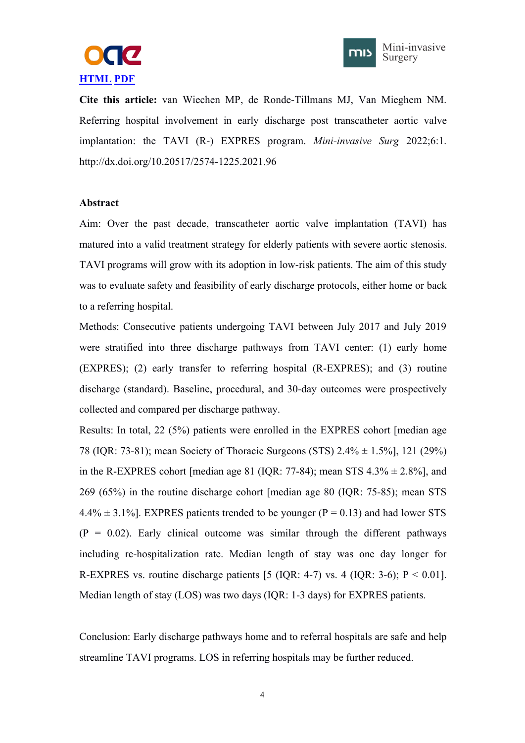



**Cite this article:** van Wiechen MP, de Ronde-Tillmans MJ, Van Mieghem NM. Referring hospital involvement in early discharge post transcatheter aortic valve implantation: the TAVI (R-) EXPRES program. *Mini-invasive Surg* 2022;6:1. http://dx.doi.org/10.20517/2574-1225.2021.96

## **Abstract**

Aim: Over the past decade, transcatheter aortic valve implantation (TAVI) has matured into a valid treatment strategy for elderly patients with severe aortic stenosis.<br>TAVI programs will grow with its adoption in low-risk patients. The aim of this study was to evaluate safety and feasibility of early discharge protocols, either home or back to a referring hospital.

Methods: Consecutive patients undergoing TAVI between July 2017 and July 2019 were stratified into three discharge pathways from TAVI center: (1) early home (EXPRES); (2) early transfer to referring hospital (R-EXPRES); and (3) routine discharge (standard). Baseline, procedural, and 30-day outcomes were prospectively collected and compared per discharge pathway.

Results: In total, 22 (5%) patients were enrolled in the EXPRES cohort [median age 78 (IQR: 73-81); mean Society of Thoracic Surgeons (STS) 2.4% ± 1.5%], 121 (29%) in the R-EXPRES cohort [median age 81 (IOR: 77-84); mean STS  $4.3\% \pm 2.8\%$ ], and 269 (65%) in the routine discharge cohort [median age 80 (IQR: 75-85); mean STS  $4.4\% \pm 3.1\%$ ]. EXPRES patients trended to be younger (P = 0.13) and had lower STS  $(P = 0.02)$ . Early clinical outcome was similar through the different pathways including re-hospitalization rate. Median length of stay was one day longer for R-EXPRES vs. routine discharge patients [5 (IOR: 4-7) vs. 4 (IOR: 3-6);  $P < 0.01$ ]. Median length of stay (LOS) was two days(IQR: 1-3 days) for EXPRES patients.

Conclusion: Early discharge pathways home and to referral hospitals are safe and help streamline TAVI programs. LOS in referring hospitals may be further reduced.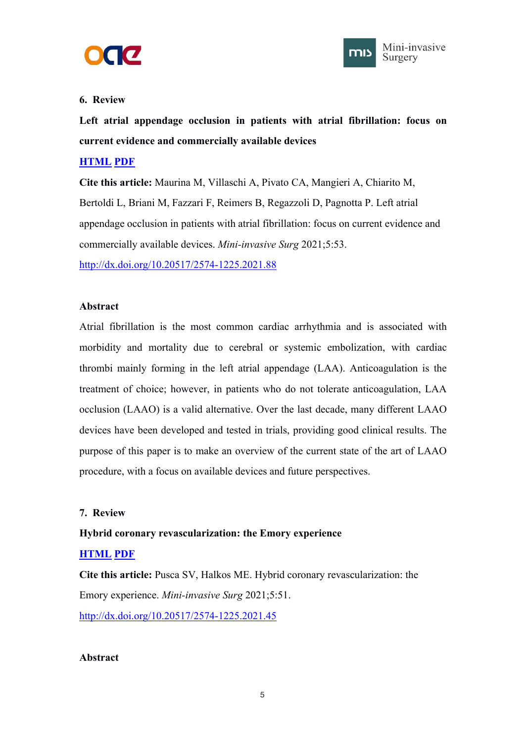



# <span id="page-7-1"></span><span id="page-7-0"></span>**6. Review**

**Left atrial appendage occlusion in patients with atrial fibrillation: focus on current evidence and commercially available devices**

# **[HTML](https://misjournal.net/article/view/4393) [PDF](https://misjournal.net/article/download/4393)**

**Cite this article:** Maurina M, Villaschi A, Pivato CA, Mangieri A, Chiarito M, Bertoldi L, Briani M, Fazzari F, Reimers B, Regazzoli D, Pagnotta P. Left atrial appendage occlusion in patients with atrial fibrillation: focus on current evidence and commercially available devices. *Mini-invasive Surg* 2021;5:53.

<http://dx.doi.org/10.20517/2574-1225.2021.88>

## **Abstract**

Atrial fibrillation is the most common cardiac arrhythmia and is associated with morbidity and mortality due to cerebral or systemic embolization, with cardiac thrombi mainly forming in the left atrial appendage (LAA). Anticoagulation is the treatment of choice; however, in patients who do not tolerate anticoagulation, LAA occlusion (LAAO) is a valid alternative. Over the last decade, many different LAAO devices have been developed and tested in trials, providing good clinical results. The purpose of this paper is to make an overview of the current state of the art of LAAO procedure, with a focus on available devices and future perspectives.

# **7. Review**

# **Hybrid coronary revascularization: the Emory experience**

# **[HTML](https://misjournal.net/article/view/4213) [PDF](https://misjournal.net/article/download/4213)**

**Cite this article:** Pusca SV, Halkos ME. Hybrid coronary revascularization: the Emory experience. *Mini-invasive Surg* 2021;5:51. <http://dx.doi.org/10.20517/2574-1225.2021.45>

## **Abstract**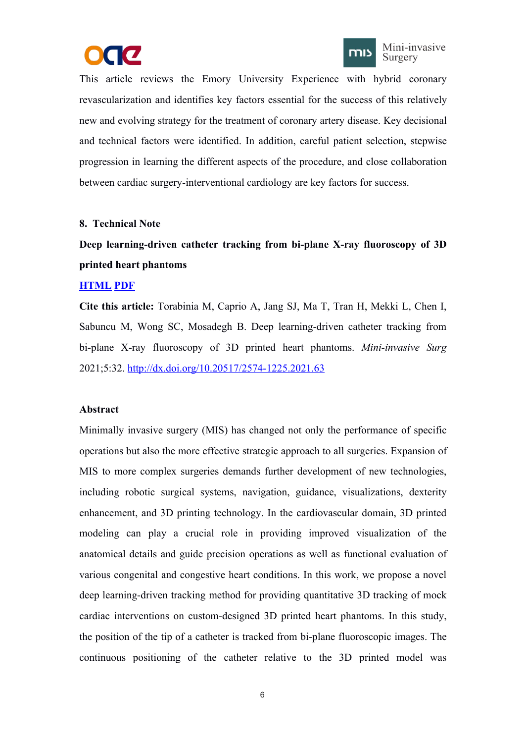



<span id="page-8-1"></span><span id="page-8-0"></span>This article reviews the Emory University Experience with hybrid coronary revascularization and identifies key factors essential for the success of this relatively new and evolving strategy for the treatment of coronary artery disease. Key decisional and technical factors were identified. In addition, careful patient selection, stepwise progression in learning the different aspects of the procedure, and close collaboration between cardiac surgery-interventional cardiology are key factors for success.

## **8. Technical Note**

CC

# **Deep learning-driven catheter tracking from bi-plane X-ray fluoroscopy of 3D printed heart phantoms**

#### **[HTML](https://misjournal.net/article/view/4112) [PDF](https://misjournal.net/article/download/4112)**

**Cite this article:** Torabinia M, Caprio A, Jang SJ, Ma T, Tran H, MekkiL, Chen I, Sabuncu M, Wong SC, Mosadegh B. Deep learning-driven catheter tracking from bi-plane X-ray fluoroscopy of 3D printed heart phantoms. *Mini-invasive Surg* 2021;5:32. <http://dx.doi.org/10.20517/2574-1225.2021.63>

#### **Abstract**

Minimally invasive surgery (MIS) has changed not only the performance of specific operations but also the more effective strategic approach to all surgeries. Expansion of MIS to more complex surgeries demands further development of new technologies, including robotic surgical systems, navigation, guidance, visualizations, dexterity enhancement, and 3D printing technology. In the cardiovascular domain, 3D printed modeling can play acrucial role in providing improved visualization of the anatomical details and guide precision operations as wellas functional evaluation of various congenital and congestive heart conditions. In this work, we propose a novel deep learning-driven tracking method for providing quantitative 3D tracking of mock cardiac interventions on custom-designed 3D printed heart phantoms. In this study, the position of the tip of a catheter is tracked from bi-plane fluoroscopic images. The continuous positioning of the catheter relative to the 3D printed model was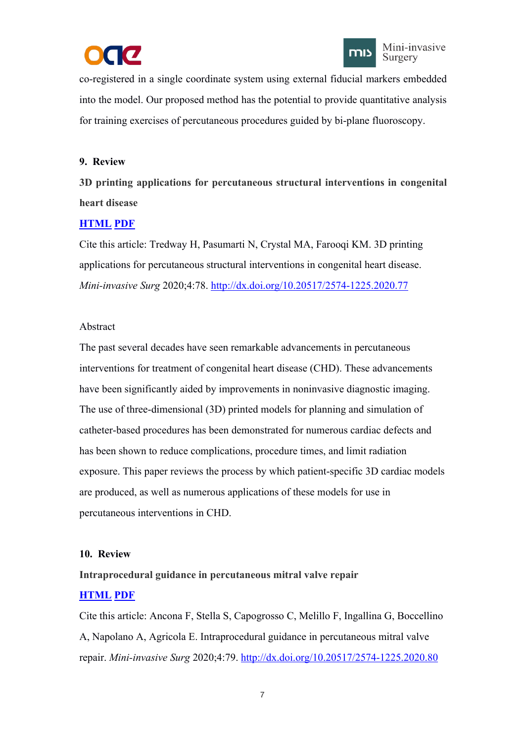



<span id="page-9-2"></span><span id="page-9-1"></span><span id="page-9-0"></span>co-registered in a single coordinate system using external fiducial markers embedded into the model. Our proposed method has the potential to provide quantitative analysis for training exercises of percutaneous procedures guided by bi-plane fluoroscopy.

# **9. Review**

**3D printing applications for percutaneous structural interventions in congenital heart disease**

# **[HTML](https://misjournal.net/article/view/3752) [PDF](https://oaepublishstorage.blob.core.windows.net/068622b5-fe95-43b6-ba77-c523bcde9f24/3752.pdf)**

Cite this article: Tredway H, Pasumarti N, Crystal MA, Farooqi KM. 3D printing applications for percutaneous structural interventions in congenital heart disease. *Mini-invasive Surg* 2020;4:78. <http://dx.doi.org/10.20517/2574-1225.2020.77>

# Abstract

The past several decades have seen remarkable advancements in percutaneous interventions for treatment of congenital heart disease (CHD). These advancements have been significantly aided by improvements in noninvasive diagnostic imaging. The use of three-dimensional (3D) printed models for planning and simulation of catheter-based procedures has been demonstrated for numerous cardiac defects and has been shown to reduce complications, procedure times, and limit radiation exposure. This paper reviews the process by which patient-specific 3D cardiac models are produced, as well as numerous applications of these models for use in percutaneous interventions in CHD.

# **10. Review**

# **Intraprocedural guidance in percutaneous mitral valve repair [HTML](https://misjournal.net/article/view/3753) [PDF](https://oaepublishstorage.blob.core.windows.net/b4c52017-7568-4c85-b44c-85d6cb845e22/3753.pdf)**

Cite this article: Ancona F, Stella S, Capogrosso C, Melillo F, Ingallina G, Boccellino A, Napolano A, Agricola E. Intraprocedural guidance in percutaneous mitral valve repair. *Mini-invasive Surg* 2020;4:79. <http://dx.doi.org/10.20517/2574-1225.2020.80>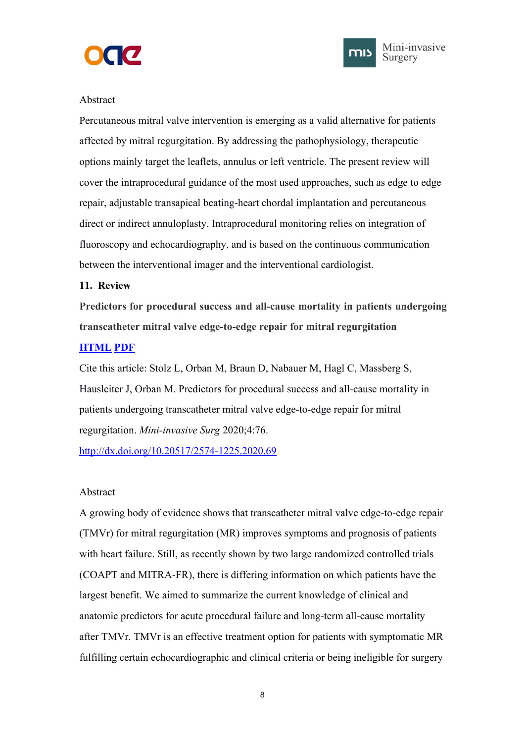



## <span id="page-10-1"></span><span id="page-10-0"></span>Abstract

Percutaneous mitral valve intervention is emerging as a valid alternative for patients affected by mitral regurgitation. By addressing the pathophysiology, therapeutic options mainly target the leaflets, annulus or left ventricle. The presentreview will cover the intraprocedural guidance of the most used approaches, such as edge to edge repair, adjustable transapical beating-heart chordal implantation and percutaneous direct or indirect annuloplasty. Intraprocedural monitoring relies on integration of fluoroscopy and echocardiography, and is based on the continuous communication between the interventional imager and the interventional cardiologist.

## **11. Review**

**Predictors for procedural success and all-cause mortality in patients undergoing transcatheter mitral valve edge-to-edge repair for mitral regurgitation**

## **[HTML](https://misjournal.net/article/view/3750) [PDF](https://oaepublishstorage.blob.core.windows.net/3b568893-dc87-4c29-8fc3-ce4a02df6877/3750.pdf)**

Cite this article: Stolz L, Orban M, Braun D, Nabauer M, Hagl C, Massberg S, Hausleiter J, Orban M. Predictors for procedural success and all-cause mortality in patients undergoing transcatheter mitral valve edge-to-edge repair for mitral regurgitation. *Mini-invasive Surg* 2020;4:76.

<http://dx.doi.org/10.20517/2574-1225.2020.69>

## Abstract

A growing body of evidence shows that transcatheter mitral valve edge-to-edge repair  $(TMVr)$  for mitral regurgitation  $(MR)$  improves symptoms and prognosis of patients with heart failure. Still, as recently shown by two large randomized controlled trials (COAPT and MITRA-FR), there is differing information on which patients have the largest benefit. We aimed to summarize the current knowledge of clinical and anatomic predictors for acute procedural failure and long-term all-cause mortality after TMVr. TMVr is an effective treatment option for patients with symptomatic MR fulfilling certain echocardiographic and clinical criteria or being ineligible for surgery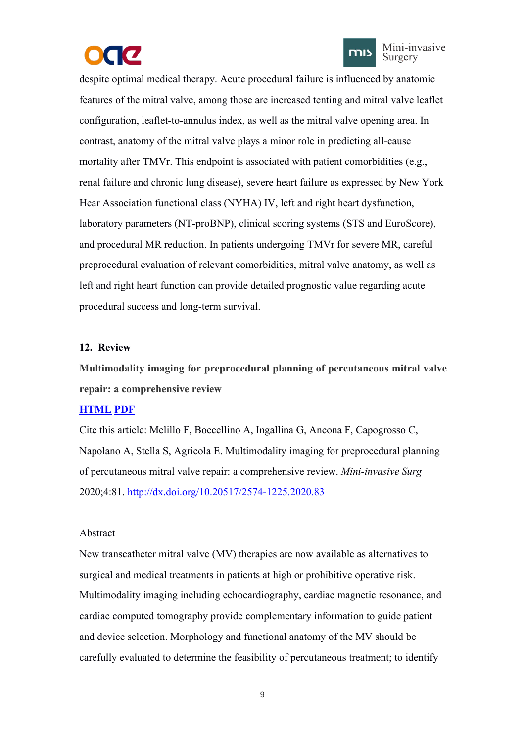



Mini-invasive Surgery

<span id="page-11-1"></span><span id="page-11-0"></span>despite optimal medical therapy. Acute procedural failure is influenced by anatomic features of the mitral valve, among those are increased tenting and mitral valve leaflet configuration, leaflet-to-annulus index, as well as the mitral valve opening area. In contrast, anatomy of the mitral valve plays a minor role in predicting all-cause mortality after TMVr. This endpoint is associated with patient comorbidities (e.g., renal failure and chronic lung disease), severe heart failure as expressed by New York Hear Association functional class (NYHA) IV, left and right heart dysfunction, laboratory parameters (NT-proBNP), clinical scoring systems (STS and EuroScore), and procedural MR reduction. In patients undergoing TMVr for severe MR, careful preprocedural evaluation of relevant comorbidities, mitral valve anatomy, as well as left and right heart function can provide detailed prognostic value regarding acute procedural success and long-term survival.

## **12. Review**

**Multimodality imaging for preprocedural planning of percutaneous mitral valve repair: a comprehensive review**

## **[HTML](https://misjournal.net/article/view/3755) [PDF](https://oaepublishstorage.blob.core.windows.net/0c362941-19d7-4793-848c-a050fb9251b7/3755.pdf)**

Cite this article: Melillo F, Boccellino A, Ingallina G, Ancona F, Capogrosso C, Napolano A, Stella S, Agricola E. Multimodality imaging for preprocedural planning of percutaneous mitral valve repair: a comprehensive review. *Mini-invasive Surg* 2020;4:81. <http://dx.doi.org/10.20517/2574-1225.2020.83>

#### Abstract

New transcatheter mitral valve (MV) therapies are now available as alternatives to surgical and medical treatments in patients at high or prohibitive operative risk. Multimodality imaging including echocardiography, cardiac magnetic resonance, and cardiac computed tomography provide complementary information to guide patient and device selection. Morphology and functionalanatomy of the MV should be carefully evaluated to determine the feasibility of percutaneous treatment; to identify

9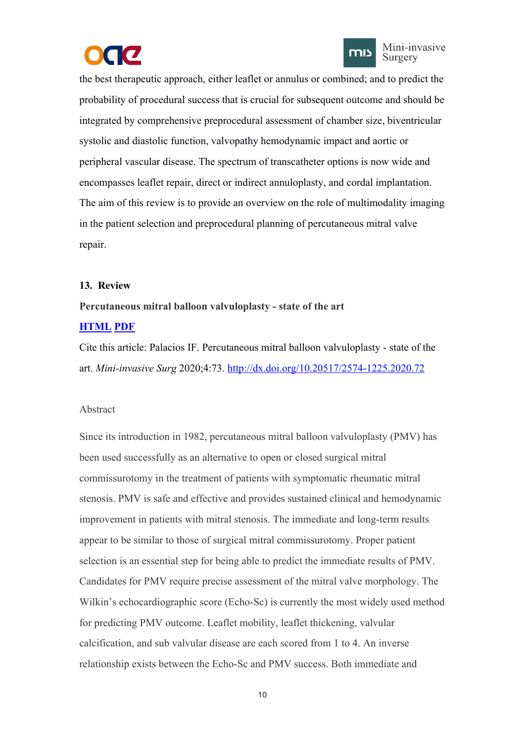



<span id="page-12-1"></span><span id="page-12-0"></span>the best therapeutic approach, either leaflet or annulus orcombined; and to predict the probability of procedural success that is crucial for subsequent outcome and should be integrated by comprehensive preprocedural assessment of chamber size, biventricular systolic and diastolic function, valvopathy hemodynamic impact and aortic or peripheral vascular disease. The spectrum of transcatheter options is now wide and encompasses leaflet repair, direct or indirect annuloplasty, and cordal implantation. The aim of this review is to provide an overview on the role of multimodality imaging in the patient selection and preprocedural planning of percutaneous mitral valve repair.

## **13. Review**

## **Percutaneous mitral balloon valvuloplasty - state of the art**

# **[HTML](https://misjournal.net/article/view/3725) [PDF](https://oaepublishstorage.blob.core.windows.net/94c14bcf-9b84-45c5-bb15-5d09a56c9b75/3725.pdf)**

Cite this article: Palacios IF. Percutaneous mitral balloon valvuloplasty - state of the art. *Mini-invasive Surg* 2020;4:73. <http://dx.doi.org/10.20517/2574-1225.2020.72>

## Abstract

Since its introduction in 1982, percutaneous mitral balloon valvuloplasty (PMV) has been used successfully as an alternative to open or closed surgical mitral commissurotomy in the treatment of patients with symptomatic rheumatic mitral stenosis. PMV is safe and effective and provides sustained clinical and hemodynamic improvement in patients with mitral stenosis. The immediate and long-term results appear to be similar to those of surgical mitral commissurotomy. Proper patient selection is an essential step for being able to predict the immediate results of PMV. Candidates for PMV require precise assessment of the mitral valve morphology. The Wilkin's echocardiographic score (Echo-Sc) is currently the most widely used method for predicting PMV outcome. Leaflet mobility, leaflet thickening, valvular calcification, and sub valvular disease are each scored from 1 to 4. An inverse relationship exists between the Echo-Sc and PMV success. Both immediate and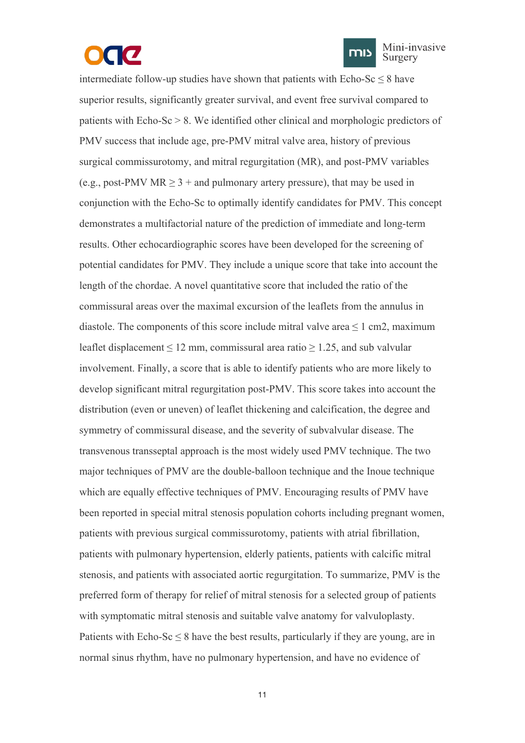



intermediate follow-up studies have shown that patients with  $Echo-Sc \leq 8$  have superior results, significantly greater survival, and event free survival compared to patients with Echo-Sc > 8. We identified other clinical and morphologic predictors of PMV success that include age, pre-PMV mitral valve area, history of previous surgical commissurotomy, and mitral regurgitation (MR), and post-PMV variables (e.g., post-PMV MR  $> 3 +$  and pulmonary artery pressure), that may be used in conjunction with the Echo-Sc to optimally identify candidates for PMV. This concept demonstrates a multifactorial nature of the prediction of immediate and long-term results. Other echocardiographic scores have been developed for the screening of potential candidates for PMV. They include a unique score that take into account the length of the chordae. A novel quantitative score that included the ratio of the commissural areas over the maximal excursion of the leaflets from the annulus in diastole. The components of this score include mitral valve area  $\leq 1$  cm2, maximum leaflet displacement  $\leq 12$  mm, commissural area ratio  $\geq 1.25$ , and sub valvular involvement. Finally, a score that is able to identify patients who are more likely to develop significant mitral regurgitation post-PMV. This score takes into account the distribution (even or uneven) of leaflet thickening and calcification, the degree and symmetry of commissural disease, and the severity of subvalvular disease. The transvenous transseptal approach is the most widely used PMV technique. The two major techniques ofPMV are the double-balloon technique and the Inoue technique which are equally effective techniques of PMV. Encouraging results of PMV have been reported in special mitral stenosis population cohorts including pregnant women, patients with previous surgical commissurotomy, patients with atrial fibrillation, patients with pulmonary hypertension, elderly patients, patients with calcific mitral stenosis, and patients with associated aortic regurgitation. To summarize, PMV is the preferred form of therapy for relief of mitral stenosis for a selected group of patients with symptomatic mitral stenosis and suitable valve anatomy for valvuloplasty. Patients with Echo-Sc  $\leq$  8 have the best results, particularly if they are young, are in normal sinus rhythm, have no pulmonary hypertension, and have no evidence of

11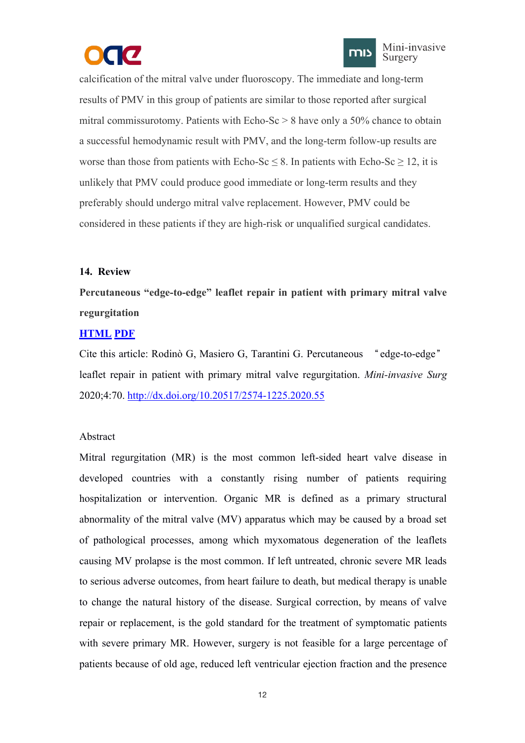



<span id="page-14-1"></span><span id="page-14-0"></span>calcification of the mitral valve under fluoroscopy. The immediate and long-term results of PMV in this group of patients are similar to those reported after surgical mitral commissurotomy. Patients with  $Echo-Sc > 8$  have only a 50% chance to obtain a successful hemodynamic result with PMV, and the long-term follow-up results are worse than those from patients with Echo-Sc  $\leq$  8. In patients with Echo-Sc  $\geq$  12, it is unlikely that PMV could produce good immediate or long-term results and they preferably should undergo mitral valve replacement. However, PMV could be considered in these patients if they are high-risk or unqualified surgical candidates.

## **14. Review**

**Percutaneous "edge-to-edge" leaflet repair in patient with primary mitral valve regurgitation**

## **[HTML](https://misjournal.net/article/view/3709) [PDF](https://oaepublishstorage.blob.core.windows.net/8864340c-49e2-43e4-96d1-1d801e053e73/3709.pdf)**

Cite this article: Rodinò G, Masiero G, Tarantini G. Percutaneous "edge-to-edge" leaflet repair in patient with primary mitral valve regurgitation. *Mini-invasive Surg* 2020;4:70. <http://dx.doi.org/10.20517/2574-1225.2020.55>

# Abstract

Mitral regurgitation (MR) is the most common left-sided heart valve disease in developed countries with a constantly rising number of patients requiring hospitalization or intervention. Organic MR is defined as a primary structural abnormality of the mitral valve (MV) apparatus which may be caused by a broad set of pathological processes, among which myxomatous degeneration of the leaflets causing MV prolapse is the most common. If left untreated, chronic severe MR leads to serious adverse outcomes, from heart failure to death, but medical therapy is unable to change the natural history of the disease. Surgical correction, by means of valve repair or replacement, is the gold standard for the treatment of symptomatic patients with severe primary MR. However, surgery is not feasible for a large percentage of patients because of old age, reduced left ventricular ejection fraction and the presence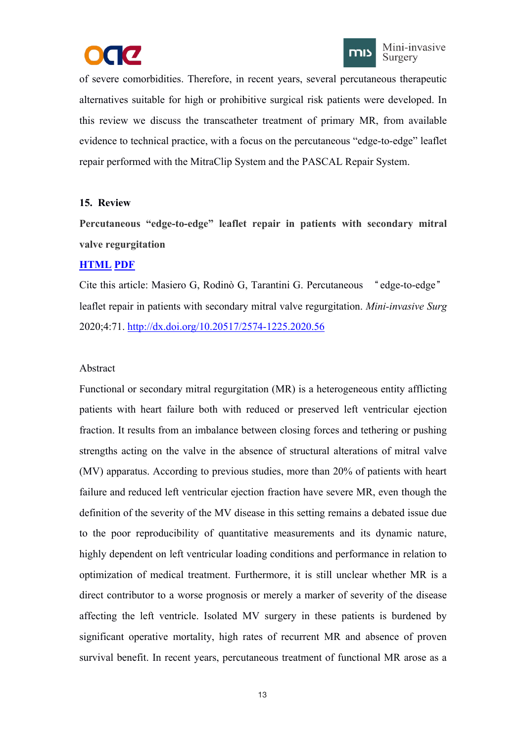



<span id="page-15-1"></span><span id="page-15-0"></span>of severe comorbidities. Therefore, in recent years, several percutaneous therapeutic alternatives suitable for high or prohibitive surgical risk patients were developed. In this review we discuss the transcatheter treatment of primary MR, from available evidence to technical practice, with a focus on the percutaneous "edge-to-edge" leaflet repair performed with the MitraClip System and the PASCAL Repair System.

## **15. Review**

**Percutaneous** "edge-to-edge" leaflet repair in patients with secondary mitral **valve regurgitation**

# **[HTML](https://misjournal.net/article/view/3710) [PDF](https://oaepublishstorage.blob.core.windows.net/3239b125-6833-406c-95c1-8bbc2e110e0a/3710.pdf)**

Cite this article: Masiero G, Rodinò G, Tarantini G. Percutaneous "edge-to-edge" leaflet repair in patients with secondary mitral valve regurgitation. *Mini-invasive Surg* 2020;4:71. <http://dx.doi.org/10.20517/2574-1225.2020.56>

## Abstract

Functional or secondary mitral regurgitation (MR) is a heterogeneous entity afflicting patients with heart failure both with reduced or preserved left ventricular ejection fraction. It results from an imbalance between closing forces and tethering or pushing strengths acting on the valve in the absence of structural alterations of mitral valve (MV) apparatus. According to previous studies, more than 20% of patients with heart failure and reduced left ventricular ejection fraction have severe MR, even though the definition of the severity of the MV disease inthis setting remains a debated issue due to the poor reproducibility of quantitative measurements and its dynamic nature, highly dependent on left ventricular loading conditions and performance in relation to optimization of medical treatment. Furthermore, it is still unclear whether MR is a direct contributor to a worse prognosis or merely a marker of severity of the disease affecting the left ventricle. Isolated MV surgery in these patients is burdened by significant operative mortality, high rates of recurrent MR and absence of proven survival benefit. In recent years, percutaneous treatment of functional MR arose as a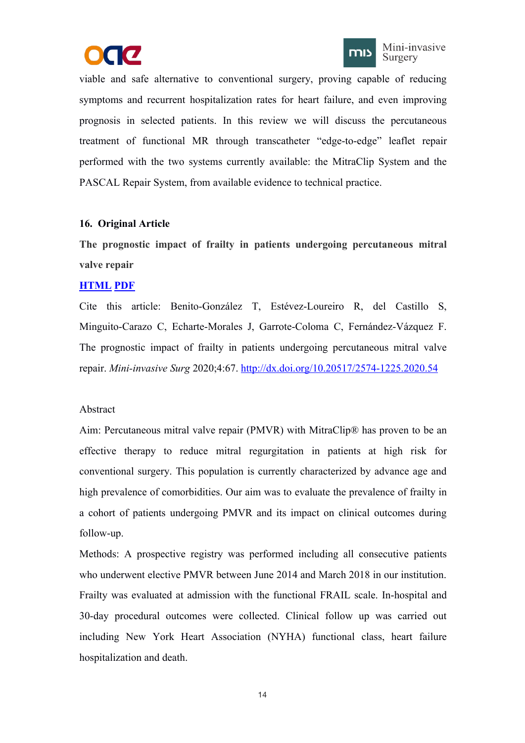



<span id="page-16-1"></span><span id="page-16-0"></span>viable and safe alternative to conventional surgery, proving capable of reducing symptoms and recurrent hospitalization rates for heart failure, and even improving prognosis in selected patients. In this review we will discuss the percutaneous treatment of functional MR through transcatheter "edge-to-edge" leaflet repair performed with the two systems currently available: the MitraClip System and the PASCAL Repair System, from available evidence to technical practice.

## **16. Original Article**

**The prognostic impact of frailty in patients undergoing percutaneous mitral valve repair**

## **[HTML](https://misjournal.net/article/view/3703) [PDF](https://oaepublishstorage.blob.core.windows.net/c41231de-c46a-4bec-bbe3-27acb33b6e44/3703.pdf)**

Cite this article: Benito-González T, Estévez-Loureiro R, del Castillo S, Minguito-Carazo C, Echarte-Morales J, Garrote-Coloma C, Fernández-Vázquez F. The prognostic impact of frailty in patients undergoing percutaneous mitral valve repair. *Mini-invasive Surg* 2020;4:67. <http://dx.doi.org/10.20517/2574-1225.2020.54>

## Abstract

Aim: Percutaneous mitral valve repair (PMVR) with MitraClip® has proven to be an effective therapy to reduce mitral regurgitation in patients at high risk for conventional surgery. This population is currently characterized by advance age and high prevalence of comorbidities. Our aim was to evaluate the prevalence of frailty in a cohort of patients undergoing PMVR and its impact on clinical outcomes during follow-up.

Methods: A prospective registry was performed including all consecutive patients who underwent elective PMVR between June 2014 and March 2018 in our institution. Frailty was evaluated at admission with the functional FRAIL scale. In-hospital and 30-day procedural outcomes were collected. Clinical follow up wascarried out including New York Heart Association (NYHA) functional class, heart failure hospitalization and death.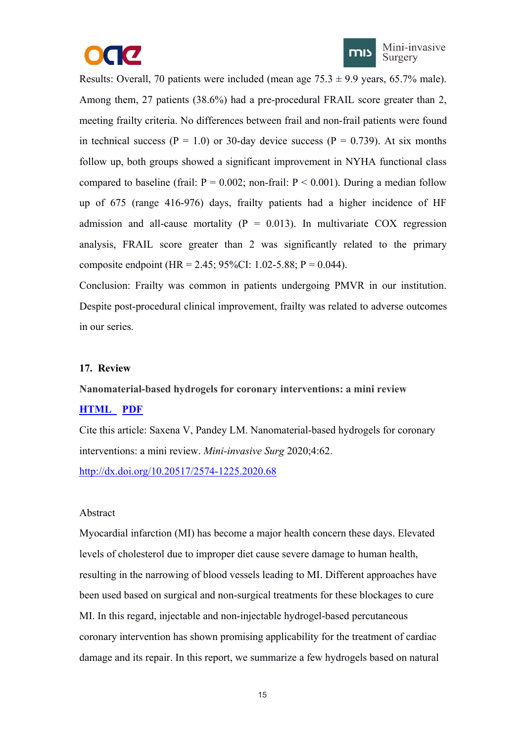



<span id="page-17-1"></span><span id="page-17-0"></span>Results: Overall, 70 patients were included (mean age  $75.3 \pm 9.9$  years, 65.7% male). Among them, 27 patients (38.6%) had a pre-procedural FRAIL score greater than 2, meeting frailty criteria. No differences between frail and non-frail patients were found in technical success ( $P = 1.0$ ) or 30-day device success ( $P = 0.739$ ). At six months follow up, both groups showed a significant improvement in NYHA functional class compared to baseline (frail:  $P = 0.002$ ; non-frail:  $P \le 0.001$ ). During a median follow up of 675 (range 416-976) days, frailty patients had a higher incidence of HF admission and all-cause mortality ( $P = 0.013$ ). In multivariate COX regression analysis, FRAIL score greater than 2 was significantly related to the primary composite endpoint (HR = 2.45; 95%CI: 1.02-5.88; P = 0.044).

Conclusion: Frailty was common in patients undergoing PMVR in our institution. Despite post-procedural clinical improvement, frailty was related to adverse outcomes in our series.

#### **17. Review**

**Nanomaterial-based hydrogels for coronary interventions: a mini review**

#### **[HTML](https://misjournal.net/article/view/3703) [PDF](https://oaepublishstorage.blob.core.windows.net/c41231de-c46a-4bec-bbe3-27acb33b6e44/3703.pdf)**

Cite this article: Saxena V, Pandey LM. Nanomaterial-based hydrogels for coronary interventions: a mini review. *Mini-invasive Surg* 2020;4:62.

<http://dx.doi.org/10.20517/2574-1225.2020.68>

#### Abstract

Myocardial infarction (MI) has become a major health concern these days. Elevated levels of cholesterol due to improper diet cause severe damage to human health, resulting in the narrowing of blood vessels leading to MI. Different approaches have been used based on surgical and non-surgical treatments for these blockages to cure MI. In this regard, injectable and non-injectable hydrogel-based percutaneous coronary intervention has shown promising applicability for the treatment of cardiac damage and its repair. In this report, we summarize a few hydrogels based on natural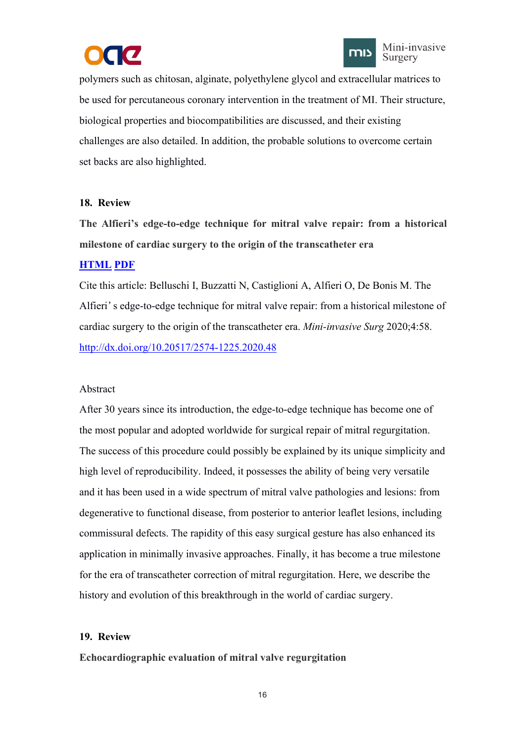



<span id="page-18-1"></span><span id="page-18-0"></span>polymers such as chitosan, alginate, polyethylene glycol and extracellular matrices to be used for percutaneous coronary intervention in the treatment of MI. Their structure, biological properties and biocompatibilities are discussed, and their existing challenges are also detailed. In addition, the probable solutions to overcome certain set backs are also highlighted.

## **18. Review**

**The Alfieri's edge-to-edge technique for mitralvalve repair: from a historical milestone of cardiac surgery to the origin of the transcatheter era**

# **[HTML](https://misjournal.net/article/view/3637) [PDF](https://oaepublishstorage.blob.core.windows.net/7df0628b-dc91-48cd-8e3e-27b40ee31a8c/3637.pdf)**

Cite this article: Belluschi I, Buzzatti N, Castiglioni A, Alfieri O, De Bonis M. The Alfieri's edge-to-edge technique for mitral valve repair: from a historical milestone of cardiac surgery to the origin of the transcatheter era. *Mini-invasive Surg* 2020;4:58. <http://dx.doi.org/10.20517/2574-1225.2020.48>

# Abstract

After 30 years since its introduction, the edge-to-edge technique has become one of the most popular and adopted worldwide for surgical repair of mitral regurgitation. The success of this procedure could possibly be explained by its unique simplicity and high level of reproducibility. Indeed, it possesses the ability of being very versatile and it has been used in a wide spectrum of mitral valve pathologies and lesions: from degenerative to functional disease, from posterior to anterior leaflet lesions, including commissural defects. The rapidity of this easy surgical gesture has also enhanced its application in minimally invasive approaches. Finally, it has become a true milestone for the era of transcatheter correction of mitral regurgitation. Here, we describe the history and evolution of this breakthrough in the world of cardiac surgery.

# **19. Review**

**Echocardiographic evaluation of mitral valve regurgitation**

16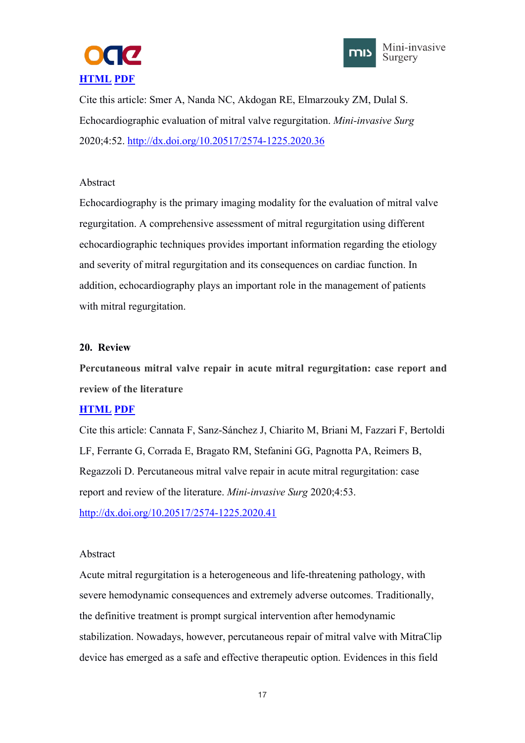



<span id="page-19-1"></span><span id="page-19-0"></span>Cite this article: Smer A, Nanda NC, Akdogan RE, Elmarzouky ZM, Dulal S. Echocardiographic evaluation of mitral valve regurgitation. *Mini-invasive Surg* 2020;4:52. <http://dx.doi.org/10.20517/2574-1225.2020.36>

## Abstract

Echocardiography is the primary imaging modality for the evaluation of mitral valve regurgitation. A comprehensive assessment of mitral regurgitation using different echocardiographic techniques provides important information regarding the etiology and severity of mitral regurgitation and its consequences on cardiac function. In addition, echocardiography plays an important role in the management of patients with mitral regurgitation.

## **20. Review**

**Percutaneous mitral valve repair in acute mitral regurgitation: case report and review of the literature**

# **[HTML](https://misjournal.net/article/view/3596) [PDF](https://oaepublishstorage.blob.core.windows.net/944ec64f-3b87-4506-af81-7fd75ba06ffe/3596.pdf)**

Cite this article: Cannata F, Sanz-Sánchez J, Chiarito M, Briani M, Fazzari F, Bertoldi LF, Ferrante G, Corrada E, Bragato RM, Stefanini GG, Pagnotta PA, Reimers B, Regazzoli D. Percutaneous mitral valve repair in acute mitral regurgitation: case report and review of the literature. *Mini-invasive Surg* 2020;4:53. <http://dx.doi.org/10.20517/2574-1225.2020.41>

# Abstract

Acute mitral regurgitation is a heterogeneous and life-threatening pathology, with severe hemodynamic consequences and extremely adverse outcomes. Traditionally, the definitive treatment is prompt surgical intervention after hemodynamic stabilization. Nowadays, however, percutaneous repair of mitral valve with MitraClip device has emerged as a safe and effective therapeutic option. Evidences in this field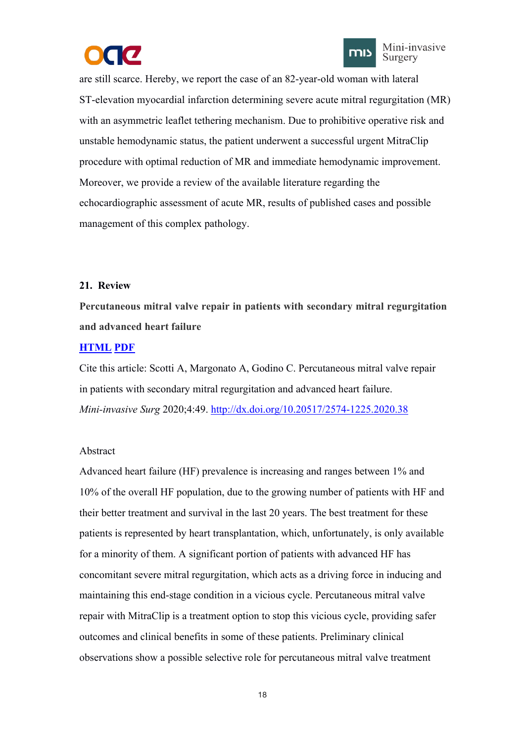



<span id="page-20-1"></span><span id="page-20-0"></span>are still scarce. Hereby, we report the case of an 82-year-old woman with lateral ST-elevation myocardial infarction determining severe acute mitral regurgitation (MR) with an asymmetric leaflet tethering mechanism. Due to prohibitive operative risk and unstable hemodynamic status, the patient underwent a successful urgent MitraClip procedure with optimal reduction of MR and immediate hemodynamic improvement. Moreover, we provide a review of the available literature regarding the echocardiographic assessment of acute MR, results of published cases and possible management of this complex pathology.

## **21. Review**

**Percutaneous mitral valve repair in patients with secondary mitral regurgitation and advanced heart failure**

## **[HTML](https://misjournal.net/article/view/3588) [PDF](https://oaepublishstorage.blob.core.windows.net/fbe8276e-bfd3-45c5-9533-4007471635ec/3588.pdf)**

Cite this article: Scotti A, Margonato A, Godino C. Percutaneous mitral valve repair in patients with secondary mitral regurgitation and advanced heart failure. *Mini-invasive Surg* 2020;4:49. <http://dx.doi.org/10.20517/2574-1225.2020.38>

## Abstract

Advanced heart failure (HF) prevalence is increasing and ranges between 1% and 10% of the overall HF population, due to the growing number of patients with HF and their better treatment and survival in the last 20 years. The best treatment for these patients is represented by heart transplantation, which, unfortunately, is only available for a minority of them. A significant portion of patients with advanced HF has concomitant severe mitral regurgitation, which acts as a driving force in inducing and maintaining this end-stage condition in a vicious cycle. Percutaneous mitral valve repair with MitraClip is a treatment option to stop this vicious cycle, providing safer outcomes and clinical benefits in some of these patients. Preliminary clinical observations show a possible selective role for percutaneous mitral valve treatment